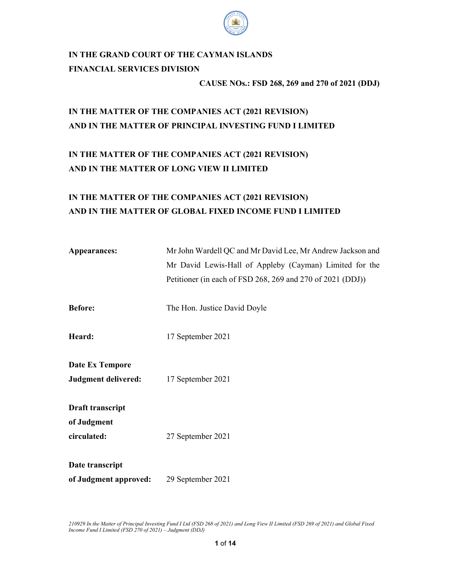

# IN THE GRAND COURT OF THE CAYMAN ISLANDS FINANCIAL SERVICES DIVISION

CAUSE NOs.: FSD 268, 269 and 270 of 2021 (DDJ)

## IN THE MATTER OF THE COMPANIES ACT (2021 REVISION) AND IN THE MATTER OF PRINCIPAL INVESTING FUND I LIMITED

## IN THE MATTER OF THE COMPANIES ACT (2021 REVISION) AND IN THE MATTER OF LONG VIEW II LIMITED

## IN THE MATTER OF THE COMPANIES ACT (2021 REVISION) AND IN THE MATTER OF GLOBAL FIXED INCOME FUND I LIMITED

| Appearances:          | Mr John Wardell QC and Mr David Lee, Mr Andrew Jackson and |
|-----------------------|------------------------------------------------------------|
|                       | Mr David Lewis-Hall of Appleby (Cayman) Limited for the    |
|                       | Petitioner (in each of FSD 268, 269 and 270 of 2021 (DDJ)) |
| <b>Before:</b>        | The Hon. Justice David Doyle                               |
| Heard:                | 17 September 2021                                          |
| Date Ex Tempore       |                                                            |
| Judgment delivered:   | 17 September 2021                                          |
| Draft transcript      |                                                            |
| of Judgment           |                                                            |
| circulated:           | 27 September 2021                                          |
| Date transcript       |                                                            |
| of Judgment approved: | 29 September 2021                                          |

210929 In the Matter of Principal Investing Fund I Ltd (FSD 268 of 2021) and Long View II Limited (FSD 269 of 2021) and Global Fixed Income Fund I Limited (FSD 270 of 2021) – Judgment (DDJ)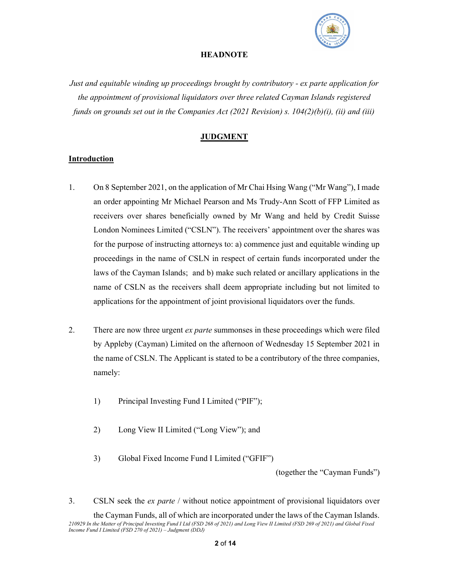

#### **HEADNOTE**

Just and equitable winding up proceedings brought by contributory - ex parte application for the appointment of provisional liquidators over three related Cayman Islands registered funds on grounds set out in the Companies Act (2021 Revision) s.  $104(2)(b)(i)$ , (ii) and (iii)

## **JUDGMENT**

#### Introduction

- 1. On 8 September 2021, on the application of Mr Chai Hsing Wang ("Mr Wang"), I made an order appointing Mr Michael Pearson and Ms Trudy-Ann Scott of FFP Limited as receivers over shares beneficially owned by Mr Wang and held by Credit Suisse London Nominees Limited ("CSLN"). The receivers' appointment over the shares was for the purpose of instructing attorneys to: a) commence just and equitable winding up proceedings in the name of CSLN in respect of certain funds incorporated under the laws of the Cayman Islands; and b) make such related or ancillary applications in the name of CSLN as the receivers shall deem appropriate including but not limited to applications for the appointment of joint provisional liquidators over the funds.
- 2. There are now three urgent *ex parte* summonses in these proceedings which were filed by Appleby (Cayman) Limited on the afternoon of Wednesday 15 September 2021 in the name of CSLN. The Applicant is stated to be a contributory of the three companies, namely:
	- 1) Principal Investing Fund I Limited ("PIF");
	- 2) Long View II Limited ("Long View"); and
	- 3) Global Fixed Income Fund I Limited ("GFIF")

(together the "Cayman Funds")

3. CSLN seek the *ex parte* / without notice appointment of provisional liquidators over

<sup>210929</sup> In the Matter of Principal Investing Fund I Ltd (FSD 268 of 2021) and Long View II Limited (FSD 269 of 2021) and Global Fixed Income Fund I Limited (FSD 270 of 2021) – Judgment (DDJ) the Cayman Funds, all of which are incorporated under the laws of the Cayman Islands.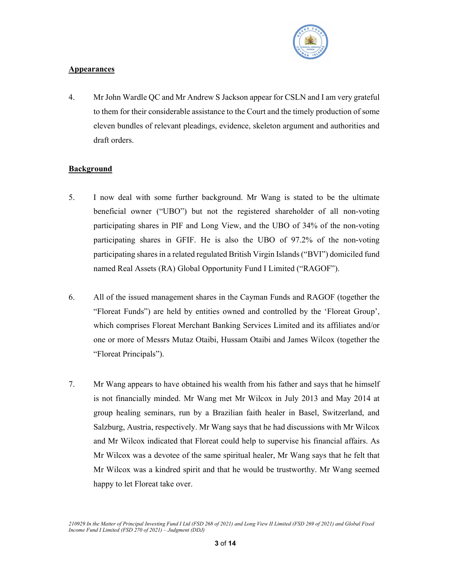

## Appearances

4. Mr John Wardle QC and Mr Andrew S Jackson appear for CSLN and I am very grateful to them for their considerable assistance to the Court and the timely production of some eleven bundles of relevant pleadings, evidence, skeleton argument and authorities and draft orders.

## **Background**

- 5. I now deal with some further background. Mr Wang is stated to be the ultimate beneficial owner ("UBO") but not the registered shareholder of all non-voting participating shares in PIF and Long View, and the UBO of 34% of the non-voting participating shares in GFIF. He is also the UBO of 97.2% of the non-voting participating shares in a related regulated British Virgin Islands ("BVI") domiciled fund named Real Assets (RA) Global Opportunity Fund I Limited ("RAGOF").
- 6. All of the issued management shares in the Cayman Funds and RAGOF (together the "Floreat Funds") are held by entities owned and controlled by the 'Floreat Group', which comprises Floreat Merchant Banking Services Limited and its affiliates and/or one or more of Messrs Mutaz Otaibi, Hussam Otaibi and James Wilcox (together the "Floreat Principals").
- 7. Mr Wang appears to have obtained his wealth from his father and says that he himself is not financially minded. Mr Wang met Mr Wilcox in July 2013 and May 2014 at group healing seminars, run by a Brazilian faith healer in Basel, Switzerland, and Salzburg, Austria, respectively. Mr Wang says that he had discussions with Mr Wilcox and Mr Wilcox indicated that Floreat could help to supervise his financial affairs. As Mr Wilcox was a devotee of the same spiritual healer, Mr Wang says that he felt that Mr Wilcox was a kindred spirit and that he would be trustworthy. Mr Wang seemed happy to let Floreat take over.

<sup>210929</sup> In the Matter of Principal Investing Fund I Ltd (FSD 268 of 2021) and Long View II Limited (FSD 269 of 2021) and Global Fixed Income Fund I Limited (FSD 270 of 2021) – Judgment (DDJ)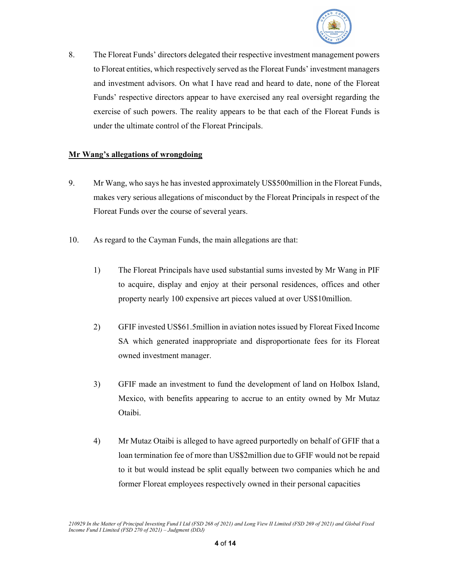

8. The Floreat Funds' directors delegated their respective investment management powers to Floreat entities, which respectively served as the Floreat Funds' investment managers and investment advisors. On what I have read and heard to date, none of the Floreat Funds' respective directors appear to have exercised any real oversight regarding the exercise of such powers. The reality appears to be that each of the Floreat Funds is under the ultimate control of the Floreat Principals.

#### Mr Wang's allegations of wrongdoing

- 9. Mr Wang, who says he has invested approximately US\$500million in the Floreat Funds, makes very serious allegations of misconduct by the Floreat Principals in respect of the Floreat Funds over the course of several years.
- 10. As regard to the Cayman Funds, the main allegations are that:
	- 1) The Floreat Principals have used substantial sums invested by Mr Wang in PIF to acquire, display and enjoy at their personal residences, offices and other property nearly 100 expensive art pieces valued at over US\$10million.
	- 2) GFIF invested US\$61.5million in aviation notes issued by Floreat Fixed Income SA which generated inappropriate and disproportionate fees for its Floreat owned investment manager.
	- 3) GFIF made an investment to fund the development of land on Holbox Island, Mexico, with benefits appearing to accrue to an entity owned by Mr Mutaz Otaibi.
	- 4) Mr Mutaz Otaibi is alleged to have agreed purportedly on behalf of GFIF that a loan termination fee of more than US\$2million due to GFIF would not be repaid to it but would instead be split equally between two companies which he and former Floreat employees respectively owned in their personal capacities

<sup>210929</sup> In the Matter of Principal Investing Fund I Ltd (FSD 268 of 2021) and Long View II Limited (FSD 269 of 2021) and Global Fixed Income Fund I Limited (FSD 270 of 2021) – Judgment (DDJ)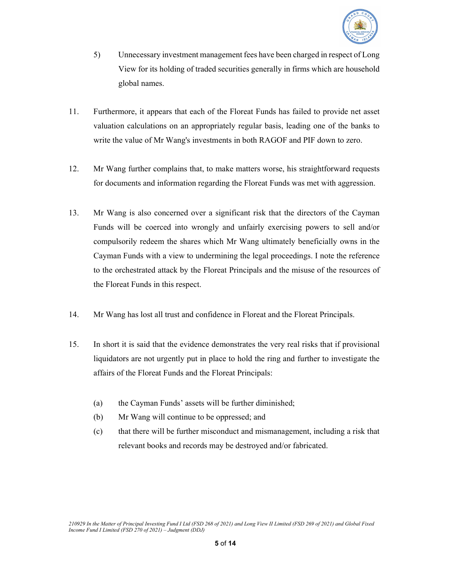

- 5) Unnecessary investment management fees have been charged in respect of Long View for its holding of traded securities generally in firms which are household global names.
- 11. Furthermore, it appears that each of the Floreat Funds has failed to provide net asset valuation calculations on an appropriately regular basis, leading one of the banks to write the value of Mr Wang's investments in both RAGOF and PIF down to zero.
- 12. Mr Wang further complains that, to make matters worse, his straightforward requests for documents and information regarding the Floreat Funds was met with aggression.
- 13. Mr Wang is also concerned over a significant risk that the directors of the Cayman Funds will be coerced into wrongly and unfairly exercising powers to sell and/or compulsorily redeem the shares which Mr Wang ultimately beneficially owns in the Cayman Funds with a view to undermining the legal proceedings. I note the reference to the orchestrated attack by the Floreat Principals and the misuse of the resources of the Floreat Funds in this respect.
- 14. Mr Wang has lost all trust and confidence in Floreat and the Floreat Principals.
- 15. In short it is said that the evidence demonstrates the very real risks that if provisional liquidators are not urgently put in place to hold the ring and further to investigate the affairs of the Floreat Funds and the Floreat Principals:
	- (a) the Cayman Funds' assets will be further diminished;
	- (b) Mr Wang will continue to be oppressed; and
	- (c) that there will be further misconduct and mismanagement, including a risk that relevant books and records may be destroyed and/or fabricated.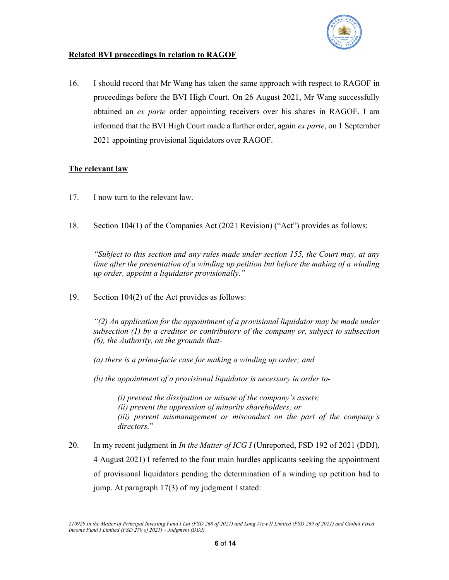

## Related BVI proceedings in relation to RAGOF

16. I should record that Mr Wang has taken the same approach with respect to RAGOF in proceedings before the BVI High Court. On 26 August 2021, Mr Wang successfully obtained an ex parte order appointing receivers over his shares in RAGOF. I am informed that the BVI High Court made a further order, again ex parte, on 1 September 2021 appointing provisional liquidators over RAGOF.

## The relevant law

- 17. I now turn to the relevant law.
- 18. Section 104(1) of the Companies Act (2021 Revision) ("Act") provides as follows:

"Subject to this section and any rules made under section 155, the Court may, at any time after the presentation of a winding up petition but before the making of a winding up order, appoint a liquidator provisionally."

19. Section 104(2) of the Act provides as follows:

"(2) An application for the appointment of a provisional liquidator may be made under subsection (1) by a creditor or contributory of the company or, subject to subsection (6), the Authority, on the grounds that-

- (a) there is a prima-facie case for making a winding up order; and
- (b) the appointment of a provisional liquidator is necessary in order to-

(i) prevent the dissipation or misuse of the company's assets; (ii) prevent the oppression of minority shareholders; or (iii) prevent mismanagement or misconduct on the part of the company's directors."

20. In my recent judgment in *In the Matter of ICG I* (Unreported, FSD 192 of 2021 (DDJ), 4 August 2021) I referred to the four main hurdles applicants seeking the appointment of provisional liquidators pending the determination of a winding up petition had to jump. At paragraph 17(3) of my judgment I stated:

<sup>210929</sup> In the Matter of Principal Investing Fund I Ltd (FSD 268 of 2021) and Long View II Limited (FSD 269 of 2021) and Global Fixed Income Fund I Limited (FSD 270 of 2021) – Judgment (DDJ)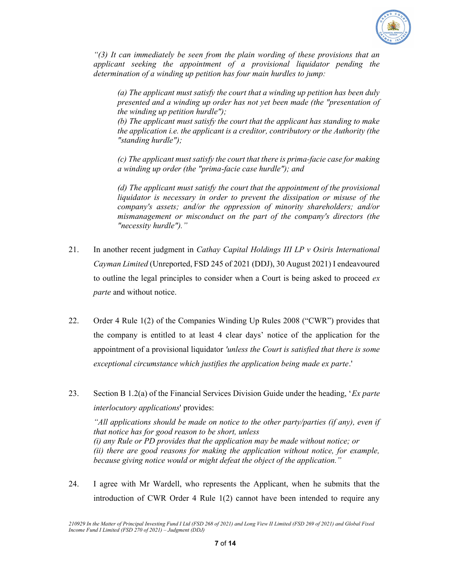

 $\degree$ (3) It can immediately be seen from the plain wording of these provisions that an applicant seeking the appointment of a provisional liquidator pending the determination of a winding up petition has four main hurdles to jump:

(a) The applicant must satisfy the court that a winding up petition has been duly presented and a winding up order has not yet been made (the "presentation of the winding up petition hurdle");

(b) The applicant must satisfy the court that the applicant has standing to make the application i.e. the applicant is a creditor, contributory or the Authority (the "standing hurdle");

(c) The applicant must satisfy the court that there is prima-facie case for making a winding up order (the "prima-facie case hurdle"); and

(d) The applicant must satisfy the court that the appointment of the provisional liquidator is necessary in order to prevent the dissipation or misuse of the company's assets; and/or the oppression of minority shareholders; and/or mismanagement or misconduct on the part of the company's directors (the "necessity hurdle")."

- 21. In another recent judgment in Cathay Capital Holdings III LP  $\nu$  Osiris International Cayman Limited (Unreported, FSD 245 of 2021 (DDJ), 30 August 2021) I endeavoured to outline the legal principles to consider when a Court is being asked to proceed  $ex$ parte and without notice.
- 22. Order 4 Rule 1(2) of the Companies Winding Up Rules 2008 ("CWR") provides that the company is entitled to at least 4 clear days' notice of the application for the appointment of a provisional liquidator *'unless the Court is satisfied that there is some* exceptional circumstance which justifies the application being made ex parte.'
- 23. Section B 1.2(a) of the Financial Services Division Guide under the heading, '*Ex parte* interlocutory applications' provides: "All applications should be made on notice to the other party/parties (if any), even if

that notice has for good reason to be short, unless (i) any Rule or PD provides that the application may be made without notice; or (ii) there are good reasons for making the application without notice, for example, because giving notice would or might defeat the object of the application."

24. I agree with Mr Wardell, who represents the Applicant, when he submits that the introduction of CWR Order 4 Rule 1(2) cannot have been intended to require any

<sup>210929</sup> In the Matter of Principal Investing Fund I Ltd (FSD 268 of 2021) and Long View II Limited (FSD 269 of 2021) and Global Fixed Income Fund I Limited (FSD 270 of 2021) – Judgment (DDJ)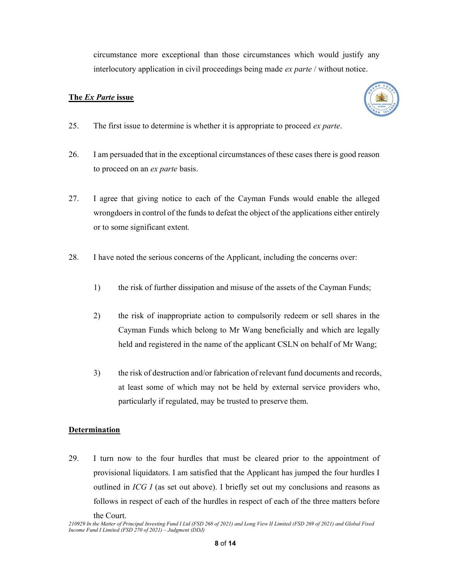circumstance more exceptional than those circumstances which would justify any interlocutory application in civil proceedings being made ex parte / without notice.

## The Ex Parte issue



- 25. The first issue to determine is whether it is appropriate to proceed ex parte.
- 26. I am persuaded that in the exceptional circumstances of these cases there is good reason to proceed on an ex parte basis.
- 27. I agree that giving notice to each of the Cayman Funds would enable the alleged wrongdoers in control of the funds to defeat the object of the applications either entirely or to some significant extent.
- 28. I have noted the serious concerns of the Applicant, including the concerns over:
	- 1) the risk of further dissipation and misuse of the assets of the Cayman Funds;
	- 2) the risk of inappropriate action to compulsorily redeem or sell shares in the Cayman Funds which belong to Mr Wang beneficially and which are legally held and registered in the name of the applicant CSLN on behalf of Mr Wang;
	- 3) the risk of destruction and/or fabrication of relevant fund documents and records, at least some of which may not be held by external service providers who, particularly if regulated, may be trusted to preserve them.

## Determination

29. I turn now to the four hurdles that must be cleared prior to the appointment of provisional liquidators. I am satisfied that the Applicant has jumped the four hurdles I outlined in ICG I (as set out above). I briefly set out my conclusions and reasons as follows in respect of each of the hurdles in respect of each of the three matters before

the Court.

<sup>210929</sup> In the Matter of Principal Investing Fund I Ltd (FSD 268 of 2021) and Long View II Limited (FSD 269 of 2021) and Global Fixed Income Fund I Limited (FSD 270 of 2021) – Judgment (DDJ)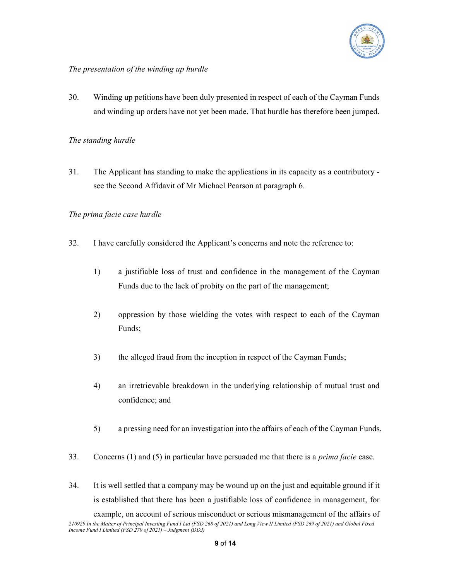

## The presentation of the winding up hurdle

30. Winding up petitions have been duly presented in respect of each of the Cayman Funds and winding up orders have not yet been made. That hurdle has therefore been jumped.

### The standing hurdle

31. The Applicant has standing to make the applications in its capacity as a contributory see the Second Affidavit of Mr Michael Pearson at paragraph 6.

## The prima facie case hurdle

- 32. I have carefully considered the Applicant's concerns and note the reference to:
	- 1) a justifiable loss of trust and confidence in the management of the Cayman Funds due to the lack of probity on the part of the management;
	- 2) oppression by those wielding the votes with respect to each of the Cayman Funds;
	- 3) the alleged fraud from the inception in respect of the Cayman Funds;
	- 4) an irretrievable breakdown in the underlying relationship of mutual trust and confidence; and
	- 5) a pressing need for an investigation into the affairs of each of the Cayman Funds.
- 33. Concerns  $(1)$  and  $(5)$  in particular have persuaded me that there is a *prima facie* case.
- 34. It is well settled that a company may be wound up on the just and equitable ground if it is established that there has been a justifiable loss of confidence in management, for example, on account of serious misconduct or serious mismanagement of the affairs of

<sup>210929</sup> In the Matter of Principal Investing Fund I Ltd (FSD 268 of 2021) and Long View II Limited (FSD 269 of 2021) and Global Fixed Income Fund I Limited (FSD 270 of 2021) – Judgment (DDJ)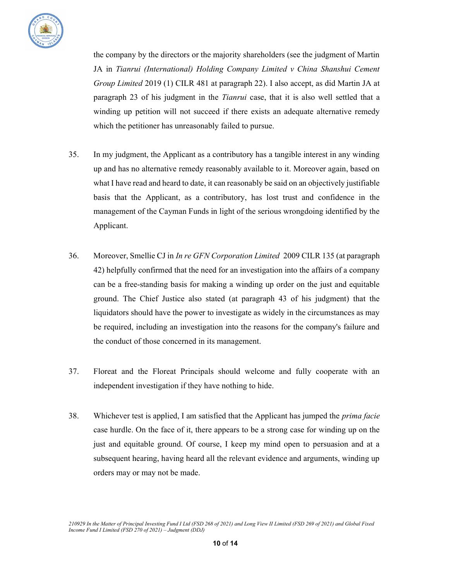

the company by the directors or the majority shareholders (see the judgment of Martin JA in Tianrui (International) Holding Company Limited v China Shanshui Cement Group Limited 2019 (1) CILR 481 at paragraph 22). I also accept, as did Martin JA at paragraph 23 of his judgment in the Tianrui case, that it is also well settled that a winding up petition will not succeed if there exists an adequate alternative remedy which the petitioner has unreasonably failed to pursue.

- 35. In my judgment, the Applicant as a contributory has a tangible interest in any winding up and has no alternative remedy reasonably available to it. Moreover again, based on what I have read and heard to date, it can reasonably be said on an objectively justifiable basis that the Applicant, as a contributory, has lost trust and confidence in the management of the Cayman Funds in light of the serious wrongdoing identified by the Applicant.
- 36. Moreover, Smellie CJ in In re GFN Corporation Limited 2009 CILR 135 (at paragraph 42) helpfully confirmed that the need for an investigation into the affairs of a company can be a free-standing basis for making a winding up order on the just and equitable ground. The Chief Justice also stated (at paragraph 43 of his judgment) that the liquidators should have the power to investigate as widely in the circumstances as may be required, including an investigation into the reasons for the company's failure and the conduct of those concerned in its management.
- 37. Floreat and the Floreat Principals should welcome and fully cooperate with an independent investigation if they have nothing to hide.
- 38. Whichever test is applied, I am satisfied that the Applicant has jumped the prima facie case hurdle. On the face of it, there appears to be a strong case for winding up on the just and equitable ground. Of course, I keep my mind open to persuasion and at a subsequent hearing, having heard all the relevant evidence and arguments, winding up orders may or may not be made.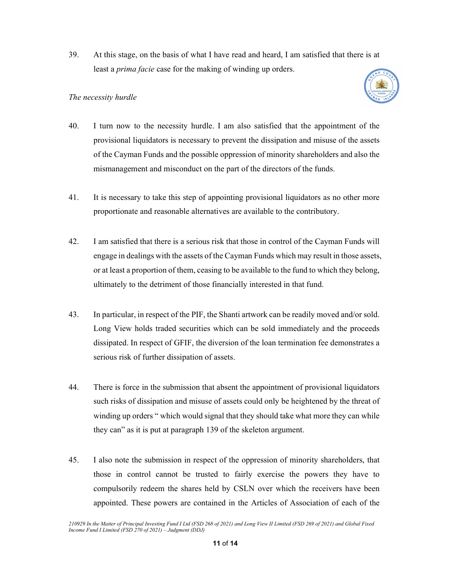39. At this stage, on the basis of what I have read and heard, I am satisfied that there is at least a prima facie case for the making of winding up orders.

## The necessity hurdle



- 40. I turn now to the necessity hurdle. I am also satisfied that the appointment of the provisional liquidators is necessary to prevent the dissipation and misuse of the assets of the Cayman Funds and the possible oppression of minority shareholders and also the mismanagement and misconduct on the part of the directors of the funds.
- 41. It is necessary to take this step of appointing provisional liquidators as no other more proportionate and reasonable alternatives are available to the contributory.
- 42. I am satisfied that there is a serious risk that those in control of the Cayman Funds will engage in dealings with the assets of the Cayman Funds which may result in those assets, or at least a proportion of them, ceasing to be available to the fund to which they belong, ultimately to the detriment of those financially interested in that fund.
- 43. In particular, in respect of the PIF, the Shanti artwork can be readily moved and/or sold. Long View holds traded securities which can be sold immediately and the proceeds dissipated. In respect of GFIF, the diversion of the loan termination fee demonstrates a serious risk of further dissipation of assets.
- 44. There is force in the submission that absent the appointment of provisional liquidators such risks of dissipation and misuse of assets could only be heightened by the threat of winding up orders " which would signal that they should take what more they can while they can" as it is put at paragraph 139 of the skeleton argument.
- 45. I also note the submission in respect of the oppression of minority shareholders, that those in control cannot be trusted to fairly exercise the powers they have to compulsorily redeem the shares held by CSLN over which the receivers have been appointed. These powers are contained in the Articles of Association of each of the

<sup>210929</sup> In the Matter of Principal Investing Fund I Ltd (FSD 268 of 2021) and Long View II Limited (FSD 269 of 2021) and Global Fixed Income Fund I Limited (FSD 270 of 2021) – Judgment (DDJ)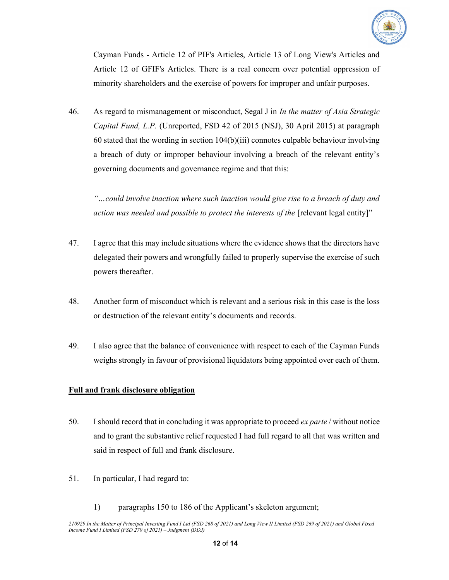

Cayman Funds - Article 12 of PIF's Articles, Article 13 of Long View's Articles and Article 12 of GFIF's Articles. There is a real concern over potential oppression of minority shareholders and the exercise of powers for improper and unfair purposes.

46. As regard to mismanagement or misconduct, Segal J in *In the matter of Asia Strategic* Capital Fund, L.P. (Unreported, FSD 42 of 2015 (NSJ), 30 April 2015) at paragraph 60 stated that the wording in section 104(b)(iii) connotes culpable behaviour involving a breach of duty or improper behaviour involving a breach of the relevant entity's governing documents and governance regime and that this:

"…could involve inaction where such inaction would give rise to a breach of duty and action was needed and possible to protect the interests of the [relevant legal entity]"

- 47. I agree that this may include situations where the evidence shows that the directors have delegated their powers and wrongfully failed to properly supervise the exercise of such powers thereafter.
- 48. Another form of misconduct which is relevant and a serious risk in this case is the loss or destruction of the relevant entity's documents and records.
- 49. I also agree that the balance of convenience with respect to each of the Cayman Funds weighs strongly in favour of provisional liquidators being appointed over each of them.

#### Full and frank disclosure obligation

- 50. I should record that in concluding it was appropriate to proceed  $ex$  parte / without notice and to grant the substantive relief requested I had full regard to all that was written and said in respect of full and frank disclosure.
- 51. In particular, I had regard to:
	- 1) paragraphs 150 to 186 of the Applicant's skeleton argument;

<sup>210929</sup> In the Matter of Principal Investing Fund I Ltd (FSD 268 of 2021) and Long View II Limited (FSD 269 of 2021) and Global Fixed Income Fund I Limited (FSD 270 of 2021) – Judgment (DDJ)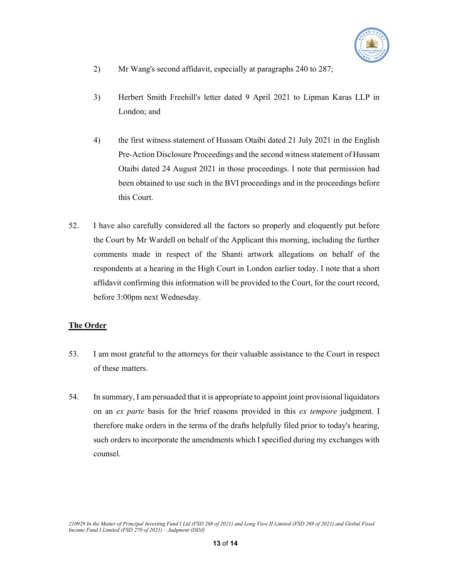

- 2) Mr Wang's second affidavit, especially at paragraphs 240 to 287;
- 3) Herbert Smith Freehill's letter dated 9 April 2021 to Lipman Karas LLP in London; and
- 4) the first witness statement of Hussam Otaibi dated 21 July 2021 in the English Pre-Action Disclosure Proceedings and the second witness statement of Hussam Otaibi dated 24 August 2021 in those proceedings. I note that permission had been obtained to use such in the BVI proceedings and in the proceedings before this Court.
- 52. I have also carefully considered all the factors so properly and eloquently put before the Court by Mr Wardell on behalf of the Applicant this morning, including the further comments made in respect of the Shanti artwork allegations on behalf of the respondents at a hearing in the High Court in London earlier today. I note that a short affidavit confirming this information will be provided to the Court, for the court record, before 3:00pm next Wednesday.

## The Order

- 53. I am most grateful to the attorneys for their valuable assistance to the Court in respect of these matters.
- 54. In summary, I am persuaded that it is appropriate to appoint joint provisional liquidators on an ex parte basis for the brief reasons provided in this ex tempore judgment. I therefore make orders in the terms of the drafts helpfully filed prior to today's hearing, such orders to incorporate the amendments which I specified during my exchanges with counsel.